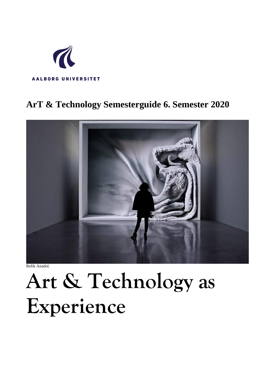

# **ArT & Technology Semesterguide 6. Semester 2020**



Refik Anadol.

# **Art & Technology as Experience**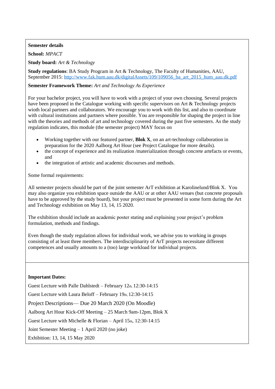#### **Semester details**

**School:** *MPACT*

**Study board:** *Art & Technology*

**Study regulations**: BA Study Program in Art & Technology, The Faculty of Humanities, AAU, September 2015: [http://www.fak.hum.aau.dk/digitalAssets/109/109056\\_ba\\_art\\_2015\\_hum\\_aau.dk.pdf](http://www.fak.hum.aau.dk/digitalAssets/109/109056_ba_art_2015_hum_aau.dk.pdf)

#### **Semester Framework Theme:** *Art and Technology As Experience*

For your bachelor project, you will have to work with a project of your own choosing. Several projects have been proposed in the Catalogue working with specific supervisors on Art & Technology projects wioth local partners and collaborators. We encourage you to work with this list, and also to coordinate with cultural institutions and partners where possible. You are responsible for shaping the project in line with the theories and methods of art and technology covered during the past five semesters. As the study regulation indicates, this module (the semester project) MAY focus on

- Working together with our featured partner, **Blok X**, on an art-technology collaboration in preparation for the 2020 Aalborg Art Hour (see Project Catalogue for more details).
- the concept of experience and its realization /materialization through concrete artefacts or events, and
- the integration of artistic and academic discourses and methods.

Some formal requirements:

All semester projects should be part of the joint semester ArT exhibition at Karolinelund/Blok X. You may also organize you exhibition space outside the AAU or at other AAU venues (but concrete proposals have to be approved by the study board), but your project must be presented in some form during the Art and Technology exhibition on May 13, 14, 15 2020.

The exhibition should include an academic poster stating and explaining your project's problem formulation, methods and findings.

Even though the study regulation allows for individual work, we advise you to working in groups consisting of at least three members. The interdisciplinarity of ArT projects necessitate different competences and usually amounts to a (too) large workload for individual projects.

#### **Important Dates:**

Guest Lecture with Palle Dahlstedt – February 12th, 12:30-14:15 Guest Lecture with Laura Beloff – February 19th, 12:30-14:15 Project Descriptions— Due 20 March 2020 (On Moodle) Aalborg Art Hour Kick-Off Meeting – 25 March 9am-12pm, Blok X Guest Lecture with Michelle & Florian – April 15th, 12:30-14:15 Joint Semester Meeting – 1 April 2020 (no joke) Exhibition: 13, 14, 15 May 2020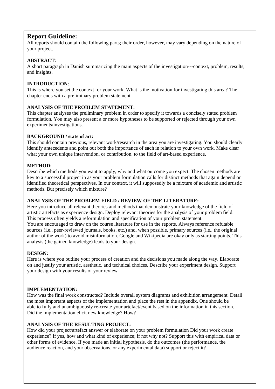#### **Report Guideline:**

All reports should contain the following parts; their order, however, may vary depending on the nature of your project.

#### **ABSTRACT**:

A short paragraph in Danish summarizing the main aspects of the investigation---context, problem, results, and insights.

#### **INTRODUCTION**:

This is where you set the context for your work. What is the motivation for investigating this area? The chapter ends with a preliminary problem statement.

#### **ANALYSIS OF THE PROBLEM STATEMENT:**

This chapter analyses the preliminary problem in order to specify it towards a concisely stated problem formulation. You may also present a or more hypotheses to be supported or rejected through your own experiments/investigations.

#### **BACKGROUND / state of art:**

This should contain previous, relevant work/research in the area you are investigating. You should clearly identify antecedents and point out both the importance of each in relation to your own work. Make clear what your own unique intervention, or contribution, to the field of art-based experience.

#### **METHOD:**

Describe which methods you want to apply, why and what outcome you expect. The chosen methods are key to a successful project in as your problem formulation calls for distinct methods that again depend on identified theoretical perspectives. In our context, it will supposedly be a mixture of academic and artistic methods. But precisely which mixture?

#### **ANALYSIS OF THE PROBLEM FIELD / REVIEW OF THE LITERATURE:**

Here you introduce all relevant theories and methods that demonstrate your knowledge of the field of artistic artefacts as experience design. Deploy relevant theories for the analysis of your problem field. This process often yields a reformulation and specification of your problem statement. You are encouraged to draw on the course literature for use in the reports. Always reference refutable sources (i.e., peer-reviewed journals, books, etc.) and, when possible, primary sources (i.e., the original author of the work) to avoid misinformation. Google and Wikipedia are okay only as starting points. This analysis (the gained knowledge) leads to your design.

#### **DESIGN:**

Here is where you outline your process of creation and the decisions you made along the way. Elaborate on and justify your artistic, aesthetic, and technical choices. Describe your experiment design. Support your design with your results of your review

#### **IMPLEMENTATION:**

How was the final work constructed? Include overall system diagrams and exhibition arrangement. Detail the most important aspects of the implementation and place the rest in the appendix. One should be able to fully and unambiguously re-create your artefact/event based on the information in this section. Did the implementation elicit new knowledge? How?

#### **ANALYSIS OF THE RESULTING PROJECT:**

How did your project/artefact answer or elaborate on your problem formulation Did your work create experience? If yes, how and what kind of experience; if not why not? Support this with empirical data or other forms of evidence. If you made an initial hypothesis, do the outcomes (the performance, the audience reaction, and your observations, or any experimental data) support or reject it?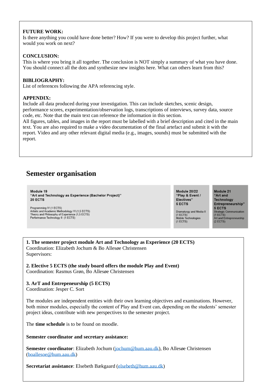#### **FUTURE WORK:**

Is there anything you could have done better? How? If you were to develop this project further, what would you work on next?

#### **CONCLUSION:**

This is where you bring it all together. The conclusion is NOT simply a summary of what you have done. You should connect all the dots and synthesize new insights here. What can others learn from this?

#### **BIBLIOGRAPHY:**

List of references following the APA referencing style.

#### **APPENDIX:**

Include all data produced during your investigation. This can include sketches, scenic design, performance scores, experimentation/observation logs, transcriptions of interviews, survey data, source code, etc. Note that the main text can reference the information in this section.

All figures, tables, and images in the report must be labelled with a brief description and cited in the main text. You are also required to make a video documentation of the final artefact and submit it with the report. Video and any other relevant digital media (e.g., images, sounds) must be submitted with the report.

# **Semester organisation**

Module 19 "Art and Technology as Experience (Bachelor Project)" 20 ECTS

Programming IV (1 ECTS) Artistic and Academic Methodology VI (1,5 ECTS)<br>Theory and Philosophy of Experience (1,5 ECTS) Performance Technology II (1 ECTS)

Module 20/22 "Play & Event / Electives" 5 ECTS

Dramaturgy and Media II Dramaturgy and Med<br>(1 ECTS)<br>Mobile Technologies  $(1 ECTS)$ 

Module 21 "Art and **Technology** Entrepreneurship" 5 ECTS 5 ECTS<br>Strategic Communication<br>(1 ECTS) רי בסיו.<br>Art and Entrepreneurship  $(2$  ECTS)

**1. The semester project module Art and Technology as Experience (20 ECTS)** Coordination: Elizabeth Jochum & Bo Allesøe Christensen Supervisors:

**2. Elective 5 ECTS (the study board offers the module Play and Event)**

Coordination: Rasmus Grøn, Bo Allesøe Christensen

#### **3. ArT and Entrepeneurship (5 ECTS)**

Coordination: Jesper C. Sort

The modules are independent entities with their own learning objectives and examinations. However, both minor modules, especially the content of Play and Event can, depending on the students' semester project ideas, contribute with new perspectives to the semester project.

The **time schedule** is to be found on moodle.

**Semester coordinator and secretary assistance:**

**Semester coordinator**: Elizabeth Jochum [\(jochum@hum.aau.dk\)](mailto:jochum@hum.aau.dk), Bo Allesøe Christensen [\(boallesoe@hum.aau.dk\)](mailto:boallesoe@hum.aau.dk)

**Secretariat assistance**: Elsebeth Bækgaard [\(elsebeth@hum.aau.dk\)](mailto:heidilr@hum.aau.dk)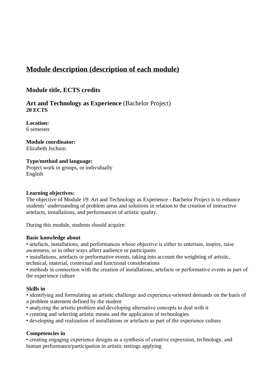# **Module description (description of each module)**

# **Module title, ECTS credits**

**Art and Technology as Experience** (Bachelor Project) **20 ECTS**

**Location:** 6 semester

#### **Module coordinator:**  Elizabeth Jochum

# **Type/method and language:**

Project work in groups, or individually English

#### **Learning objectives:**

The objective of Module 19: Art and Technology as Experience - Bachelor Project is to enhance students' understanding of problem areas and solutions in relation to the creation of interactive artefacts, installations, and performances of artistic quality.

During this module, students should acquire:

#### **Basic knowledge about**

• artefacts, installations, and performances whose objective is either to entertain, inspire, raise awareness, or in other ways affect audience or participants

• installations, artefacts or performative events, taking into account the weighting of artistic, technical, material, contextual and functional considerations

• methods in connection with the creation of installations, artefacts or performative events as part of the experience culture

#### **Skills in**

• identifying and formulating an artistic challenge and experience-oriented demands on the basis of a problem statement defined by the student

- analyzing the artistic problem and developing alternative concepts to deal with it
- creating and selecting artistic means and the application of technologies
- developing and realization of installations or artefacts as part of the experience culture

#### **Competencies in**

• creating engaging experience designs as a synthesis of creative expression, technology, and human performance/participation in artistic settings applying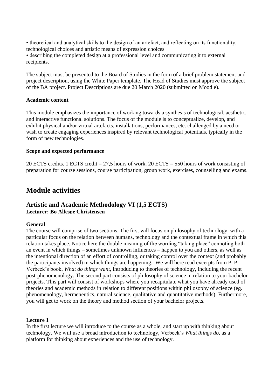• theoretical and analytical skills to the design of an artefact, and reflecting on its functionality, technological choices and artistic means of expression choices • describing the completed design at a professional level and communicating it to external recipients.

The subject must be presented to the Board of Studies in the form of a brief problem statement and project description, using the White Paper template. The Head of Studies must approve the subject of the BA project. Project Descriptions are due 20 March 2020 (submitted on Moodle).

#### **Academic content**

This module emphasizes the importance of working towards a synthesis of technological, aesthetic, and interactive functional solutions. The focus of the module is to conceptualize, develop, and exhibit physical and/or virtual artefacts, installations, performances, etc. challenged by a need or wish to create engaging experiences inspired by relevant technological potentials, typically in the form of new technologies.

#### **Scope and expected performance**

20 ECTS credits. 1 ECTS credit = 27,5 hours of work. 20 ECTS = 550 hours of work consisting of preparation for course sessions, course participation, group work, exercises, counselling and exams.

# **Module activities**

## **Artistic and Academic Methodology VI (1,5 ECTS) Lecturer: Bo Allesøe Christensen**

#### **General**

The course will comprise of two sections. The first will focus on philosophy of technology, with a particular focus on the relation between humans, technology and the contextual frame in which this relation takes place. Notice here the double meaning of the wording "taking place" connoting both an event in which things – sometimes unknown influences – happen to you and others, as well as the intentional direction of an effort of controlling, or taking control over the context (and probably the participants involved) in which things are happening. We will here read excerpts from P. P. Verbeek's book, *What do things want,* introducing to theories of technology, including the recent post-phenomenology. The second part consists of philosophy of science in relation to your bachelor projects. This part will consist of workshops where you recapitulate what you have already used of theories and academic methods in relation to different positions within philosophy of science (eg. phenomenology, hermeneutics, natural science, qualitative and quantitative methods). Furthermore, you will get to work on the theory and method section of your bachelor projects.

#### **Lecture 1**

In the first lecture we will introduce to the course as a whole, and start up with thinking about technology. We will use a broad introduction to technology, Verbeek's *What things do*, as a platform for thinking about experiences and the use of technology.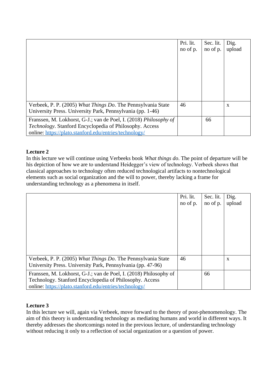|                                                                                                                                                                                        | Pri. lit.<br>no of p. | Sec. lit.<br>no of p. | Dig.<br>upload |
|----------------------------------------------------------------------------------------------------------------------------------------------------------------------------------------|-----------------------|-----------------------|----------------|
| Verbeek, P. P. (2005) What Things Do. The Pennsylvania State<br>University Press. University Park, Pennsylvania (pp. 1-46)                                                             | 46                    |                       | X              |
| Franssen, M. Lokhorst, G-J.; van de Poel, I. (2018) Philosophy of<br>Technology. Stanford Encyclopedia of Philosophy. Access<br>online: https://plato.stanford.edu/entries/technology/ |                       | 66                    |                |

#### **Lecture 2**

In this lecture we will continue using Verbeeks book *What things do*. The point of departure will be his depiction of how we are to understand Heidegger's view of technology. Verbeek shows that classical approaches to technology often reduced technological artifacts to nontechnological elements such as social organization and the will to power, thereby lacking a frame for understanding technology as a phenomena in itself.

|                                                                                                                                                                                        | Pri. lit.<br>no of p. | Sec. lit.<br>no of p. | Dig.<br>upload |
|----------------------------------------------------------------------------------------------------------------------------------------------------------------------------------------|-----------------------|-----------------------|----------------|
|                                                                                                                                                                                        |                       |                       |                |
|                                                                                                                                                                                        |                       |                       |                |
|                                                                                                                                                                                        |                       |                       |                |
|                                                                                                                                                                                        |                       |                       |                |
| Verbeek, P. P. (2005) What Things Do. The Pennsylvania State<br>University Press. University Park, Pennsylvania (pp. 47-96)                                                            | 46                    |                       | X              |
| Franssen, M. Lokhorst, G-J.; van de Poel, I. (2018) Philosophy of<br>Technology. Stanford Encyclopedia of Philosophy. Access<br>online: https://plato.stanford.edu/entries/technology/ |                       | 66                    |                |

#### **Lecture 3**

In this lecture we will, again via Verbeek, move forward to the theory of post-phenomenology. The aim of this theory is understanding technology as mediating humans and world in different ways. It thereby addresses the shortcomings noted in the previous lecture, of understanding technology without reducing it only to a reflection of social organization or a question of power.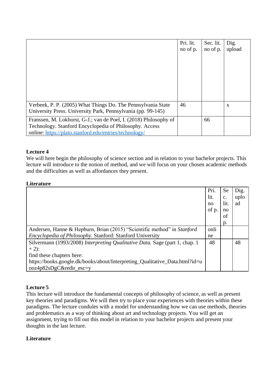|                                                                                                                                                                                        | Pri. lit.<br>no of p. | Sec. lit.<br>no of p. | Dig.<br>upload |
|----------------------------------------------------------------------------------------------------------------------------------------------------------------------------------------|-----------------------|-----------------------|----------------|
|                                                                                                                                                                                        |                       |                       |                |
|                                                                                                                                                                                        |                       |                       |                |
|                                                                                                                                                                                        |                       |                       |                |
|                                                                                                                                                                                        |                       |                       |                |
| Verbeek, P. P. (2005) What Things Do. The Pennsylvania State<br>University Press. University Park, Pennsylvania (pp. 99-145)                                                           | 46                    |                       | X              |
| Franssen, M. Lokhorst, G-J.; van de Poel, I. (2018) Philosophy of<br>Technology. Stanford Encyclopedia of Philosophy. Access<br>online: https://plato.stanford.edu/entries/technology/ |                       | 66                    |                |

#### **Lecture 4**

We will here begin the philosophy of science section and in relation to your bachelor projects. This lecture will introduce to the notion of method, and we will focus on your chosen academic methods and the difficulties as well as affordances they present.

#### **Literature**

|                                                                                                                                                                                                                              | Pri.<br>lit.<br>no<br>of p. | <b>Se</b><br>$C_{\star}$<br>lit.<br>no<br>οf<br>p. | Dig.<br>uplo<br>ad |
|------------------------------------------------------------------------------------------------------------------------------------------------------------------------------------------------------------------------------|-----------------------------|----------------------------------------------------|--------------------|
| Andersen, Hanne & Hepburn, Brian (2015) "Scientific method" in Stanford<br><i>Encyclopedia of Philosophy. Stanford: Stanford University</i>                                                                                  | onli<br>ne                  |                                                    |                    |
| Silvermann (1993/2008) Interpreting Qualitative Data. Sage (part 1, chap. 1<br>$+2$ :<br>find these chapters here:<br>https://books.google.dk/books/about/Interpreting_Qualitative_Data.html?id=u<br>ooz4p82sDgC&redir_esc=y | 48                          |                                                    | 48                 |

#### **Lecture 5**

This lecture will introduce the fundamental concepts of philosophy of science, as well as present key theories and paradigms. We will then try to place your experiences with theories within these paradigms. The lecture condules with a model for understanding how we can use methods, theories and problematics as a way of thinking about art and technology projects. You will get an assignment, trying to fill out this model in relation to your bachelor projects and present your thoughts in the last lecture.

#### **Literature**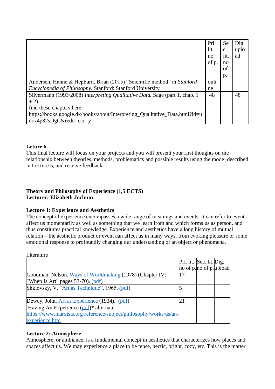|                                                                                                        | Pri.<br>lit.<br>no<br>of p. | <b>Se</b><br>$\mathbf{C}$ .<br>lit.<br>no<br>οf<br>p. | Dig.<br>uplo<br>ad |
|--------------------------------------------------------------------------------------------------------|-----------------------------|-------------------------------------------------------|--------------------|
| Andersen, Hanne & Hepburn, Brian (2015) "Scientific method" in Stanford                                | onli                        |                                                       |                    |
| Encyclopedia of Philosophy. Stanford: Stanford University                                              | ne                          |                                                       |                    |
| Silvermann (1993/2008) Interpreting Qualitative Data. Sage (part 1, chap. 1<br>$+2$ :                  | 48                          |                                                       | 48                 |
| find these chapters here:                                                                              |                             |                                                       |                    |
| https://books.google.dk/books/about/Interpreting_Qualitative_Data.html?id=u<br>ooz4p82sDgC&redir_esc=y |                             |                                                       |                    |

#### **Leture 6**

This final lecture will focus on your projects and you will present your first thoughts on the relationship between theories, methods, problematics and possible results using the model described in Lecture 5, and receive feedback.

#### **Theory and Philosophy of Experience (1,5 ECTS) Lecturer: Elizabeth Jochum**

#### **Lecture 1: Experience and Aesthetics**

The concept of experience encompasses a wide range of meanings and events. It can refer to events affect us momentarily as well as something that we learn from and which forms us as person, and thus constitutes practical knowledge. Experience and aesthetics have a long history of mutual relation – the aesthetic product or event can affect us in many ways, from evoking pleasure or some emotional response to profoundly changing our understanding of an object or phenomena.

Literature Pri. lit. Sec. lit. Dig. no of p.no of p.upload Goodman, Nelson. [Ways of Worldmaking](https://www.moodle.aau.dk/pluginfile.php/409475/course/section/187676/Goodman_Nelson_Ways_of_Worldmaking.pdf) (1978) (Chapter IV: When Is Art" pages 53-70). [\(pdf\)](https://www.moodle.aau.dk/pluginfile.php/1685964/course/section/446436/Goodman_Nelson_Ways_of_Worldmaking.pdf) 17 Shklovsky, V. ["Art as Technique"](https://www.moodle.aau.dk/pluginfile.php/409475/course/section/187679/Shklovsky.ArtasTechnique.pdf), 1965.  $(\text{pdf})$  5 Dewey, John. [Art as Experience](https://www.moodle.aau.dk/pluginfile.php/409475/course/section/187676/Dewey.ch3.pdf) (1934). [\(pdf\)](https://www.moodle.aau.dk/pluginfile.php/1685964/course/section/446436/Dewey-ArtasExperience.pdf) 21 Having An Experience [\(pdf\)](https://www.moodle.aau.dk/pluginfile.php/1685964/course/section/446436/Dewey.ch3.pdf)\* alternate [https://www.marxists.org/reference/subject/philosophy/works/us/an](https://www.marxists.org/reference/subject/philosophy/works/us/an-experience.htm)[experience.htm](https://www.marxists.org/reference/subject/philosophy/works/us/an-experience.htm)

#### **Lecture 2: Atmosphere**

Atmosphere, or ambiance, is a fundamental concept in aesthetics that characterizes how places and spaces affect us. We may experience a place to be tense, hectic, bright, cozy, etc. This is the matter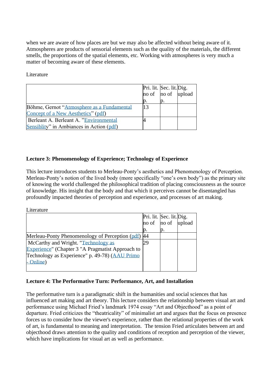when we are aware of how places are but we may also be affected without being aware of it. Atmospheres are products of sensorial elements such as the quality of the materials, the different smells, the proportions of the spatial elements, etc. Working with atmospheres is very much a matter of becoming aware of these elements.

Literature

|                                            | Pri. lit. Sec. lit. Dig. |  |
|--------------------------------------------|--------------------------|--|
|                                            | no of no of upload       |  |
|                                            |                          |  |
| Böhme, Gernot "Atmosphere as a Fundamental | 13                       |  |
| Concept of a New Aesthetics" (pdf)         |                          |  |
| Berleant A. Berleant A. "Environmental"    |                          |  |
| Sensiblity" in Ambiances in Action (pdf)   |                          |  |

#### **Lecture 3: Phenomenology of Experience; Technology of Experience**

This lecture introduces students to Merleau-Ponty's aesthetics and Phenomenology of Perception. Merleau-Ponty's notion of the lived body (more specifically "one's own body") as the primary site of knowing the world challenged the philosophical tradition of placing consciousness as the source of knowledge. His insight that the body and that which it perceives cannot be disentangled has profoundly impacted theories of perception and experience, and processes of art making.

Literature

|                                                    | Pri. lit. Sec. lit. Dig. |  |
|----------------------------------------------------|--------------------------|--|
|                                                    | no of no of upload       |  |
|                                                    | D.                       |  |
| Merleau-Ponty Phenomenology of Perception (pdf) 44 |                          |  |
| McCarthy and Wright. "Technology as                | 29                       |  |
| Experience" (Chapter 3 "A Pragmatist Approach to   |                          |  |
| Technology as Experience" p. 49-78) (AAU Primo     |                          |  |
| <b>Online</b>                                      |                          |  |
|                                                    |                          |  |

#### **Lecture 4: The Performative Turn: Performance, Art, and Installation**

The performative turn is a paradigmatic shift in the humanities and social sciences that has influenced art making and art theory. This lecture considers the relationship between visual art and performance using Michael Fried's landmark 1974 essay "Art and Objecthood" as a point of departure. Fried criticizes the "theatricality" of minimalist art and argues that the focus on presence forces us to consider how the viewer's experience, rather than the relational properties of the work of art, is fundamental to meaning and interpretation. The tension Fried articulates between art and objecthood draws attention to the quality and conditions of reception and perception of the viewer, which have implications for visual art as well as performance.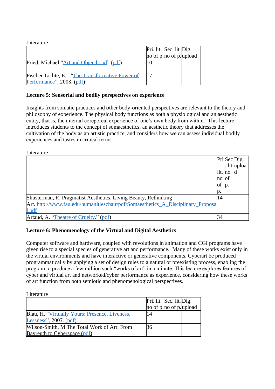| Literature                                                                   |                          |  |
|------------------------------------------------------------------------------|--------------------------|--|
|                                                                              | Pri. lit. Sec. lit. Dig. |  |
|                                                                              | no of p.no of p.upload   |  |
| Fried, Michael "Art and Objecthood" (pdf)                                    |                          |  |
| Fischer-Lichte, E. "The Transformative Power of<br>Performance", 2008. (pdf) |                          |  |

#### **Lecture 5: Sensorial and bodily perspectives on experience**

Insights from somatic practices and other body-oriented perspectives are relevant to the theory and philosophy of experience. The physical body functions as both a physiological and an aesthetic entity, that is, the internal coreporeal experience of one's own body from within. This lecture introduces students to the concept of somaesthetics, an aesthetic theory that addresses the cultivation of the body as an artistic practice, and considers how we can assess individual bodily experiences and tastes in critical terms.

| Literature                                                                       |      |               |              |
|----------------------------------------------------------------------------------|------|---------------|--------------|
|                                                                                  |      |               | Pri Sec Dig. |
|                                                                                  |      |               | lit.uploa    |
|                                                                                  | lit. | $\mathbf{no}$ |              |
|                                                                                  | mo   | Юt            |              |
|                                                                                  | юf   | $\mathbb{D}$  |              |
|                                                                                  | p.   |               |              |
| Shusterman, R. Pragmatist Aesthetics. Living Beauty, Rethinking                  | 14   |               |              |
| Art. http://www.fau.edu/humanitieschair/pdf/Somaesthetics_A_Disciplinary_Proposa |      |               |              |
| l.pdf                                                                            |      |               |              |
| Artaud, A. "Theatre of Cruelty." (pdf)                                           | 34   |               |              |

#### **Lecture 6: Phenomenology of the Virtual and Digital Aesthetics**

Computer software and hardware, coupled with revolutions in animation and CGI programs have given rise to a special species of generative art and performance. Many of these works exist only in the virtual environments and have interactive or generative components. Cyberart be produced programmatically by applying a set of design rules to a natural or preexisting process, enabling the program to produce a few million such "works of art" in a minute. This lecture explores features of cyber and virtual art and networked/cyber performance as experience, considering how these works of art function from both semiotic and phenomenological perspectives.

| Literature                                     |                          |  |
|------------------------------------------------|--------------------------|--|
|                                                | Pri. lit. Sec. lit. Dig. |  |
|                                                | no of p. no of p. upload |  |
| Blau, H. "Virtually Yours: Presence, Liveness, | 14                       |  |
| Lessness", 2007. $(pdf)$                       |                          |  |
| Wilson-Smith, M.The Total Work of Art: From    | 36                       |  |
| Bayreuth to Cyberspace (pdf)                   |                          |  |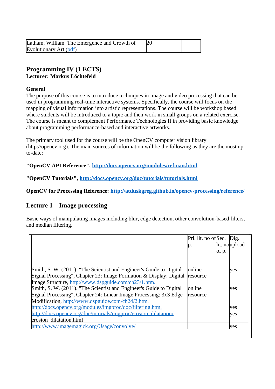| Latham, William. The Emergence and Growth of |  |  |
|----------------------------------------------|--|--|
| Evolutionary Art (pdf)                       |  |  |

# **Programming IV (1 ECTS)**

# **Lecturer: Markus Löchtefeld**

#### **[General](https://www.moodle.aau.dk/course/view.php?id=32619#section-0)**

The purpose of this course is to introduce techniques in image and video processing that can be used in programming real-time interactive systems. Specifically, the course will focus on the mapping of visual information into artistic representations. The course will be workshop based where students will be introduced to a topic and then work in small groups on a related exercise. The course is meant to complement Performance Technologies II in providing basic knowledge about programming performance-based and interactive artworks.

The primary tool used for the course will be the OpenCV computer vision library (http://opencv.org). The main sources of information will be the following as they are the most upto-date:

#### **"OpenCV API Reference", <http://docs.opencv.org/modules/refman.html>**

**"OpenCV Tutorials", <http://docs.opencv.org/doc/tutorials/tutorials.html>**

**OpenCV for Processing Reference: <http://atduskgreg.github.io/opencv-processing/reference/>**

# **Lecture 1 – Image processing**

Basic ways of manipulating images including blur, edge detection, other convolution-based filters, and median filtering.

|                                                                     | Pri. lit. no ofSec. Dig. |       |               |
|---------------------------------------------------------------------|--------------------------|-------|---------------|
|                                                                     | p.                       |       | lit. noupload |
|                                                                     |                          | of p. |               |
|                                                                     |                          |       |               |
|                                                                     |                          |       |               |
| Smith, S. W. (2011). "The Scientist and Engineer's Guide to Digital | online                   |       | ves           |
| Signal Processing", Chapter 23: Image Formation & Display: Digital  | resource                 |       |               |
| Image Structure, http://www.dspguide.com/ch23/1.htm.                |                          |       |               |
| Smith, S. W. (2011). "The Scientist and Engineer's Guide to Digital | online                   |       | yes           |
| Signal Processing", Chapter 24: Linear Image Processing: 3x3 Edge   | resource                 |       |               |
| Modification, http://www.dspguide.com/ch24/2.htm.                   |                          |       |               |
| http://docs.opency.org/modules/imgproc/doc/filtering.html           |                          |       | yes           |
| http://docs.opency.org/doc/tutorials/imgproc/erosion_dilatation/    |                          |       | yes           |
| erosion dilatation.html                                             |                          |       |               |
| http://www.imagemagick.org/Usage/convolve/                          |                          |       | ves           |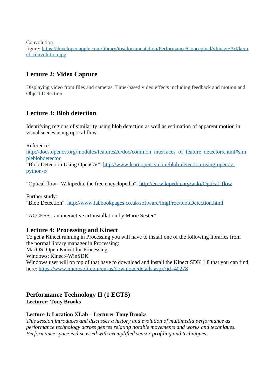Convolution

figure: [https://developer.apple.com/library/ios/documentation/Performance/Conceptual/vImage/Art/kern](https://developer.apple.com/library/ios/documentation/Performance/Conceptual/vImage/Art/kernel_convolution.jpg) [el\\_convolution.jpg](https://developer.apple.com/library/ios/documentation/Performance/Conceptual/vImage/Art/kernel_convolution.jpg)

# **Lecture 2: Video Capture**

Displaying video from files and cameras. Time-based video effects including feedback and motion and Object Detection

# **Lecture 3: Blob detection**

Identifying regions of similarity using blob detection as well as estimation of apparent motion in visual scenes using optical flow.

Reference:

http://docs.opency.org/modules/features2d/doc/common\_interfaces\_of\_feature\_detectors.html#sim [pleblobdetector](http://docs.opencv.org/modules/features2d/doc/common_interfaces_of_feature_detectors.html#simpleblobdetector)

"Blob Detection Using OpenCV", [http://www.learnopencv.com/blob-detection-using-opencv](http://www.learnopencv.com/blob-detection-using-opencv-python-c/)[python-c/](http://www.learnopencv.com/blob-detection-using-opencv-python-c/)

"Optical flow - Wikipedia, the free encyclopedia", [http://en.wikipedia.org/wiki/Optical\\_flow](http://en.wikipedia.org/wiki/Optical_flow)

Further study: "Blob Detection", <http://www.labbookpages.co.uk/software/imgProc/blobDetection.html>

"ACCESS - an interactive art installation by Marie Sester"

#### **Lecture 4: Processing and Kinect**

To get a Kinect running in Processing you will have to install one of the following libraries from the normal library manager in Processing: MacOS: Open Kinect for Processing Windows: Kinect4WinSDK Windows user will on top of that have to download and install the Kinect SDK 1.8 that you can find here: <https://www.microsoft.com/en-us/download/details.aspx?id=40278>

#### **Performance Technology II (1 ECTS) Lecturer: Tony Brooks**

#### **Lecture 1: Location XLab – Lecturer Tony Brooks**

*This session introduces and discusses a history and evolution of multimedia performance as performance technology across genres relating notable movements and works and techniques. Performance space is discussed with exemplified sensor profiling and techniques.*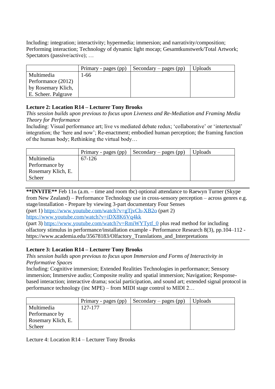Including: integration; interactivity; hypermedia; immersion; and narrativity/composition; Performing interaction; Technology of dynamic light mocap; Gesamtkunstwerk/Total Artwork; Spectators (passive/active); …

|                     | Primary - pages (pp) | Secondary – pages (pp) | <b>Uploads</b> |
|---------------------|----------------------|------------------------|----------------|
| Multimedia          | 1-66                 |                        |                |
| Performance (2012)  |                      |                        |                |
| by Rosemary Klich,  |                      |                        |                |
| E. Scheer. Palgrave |                      |                        |                |

#### **Lecture 2: Location R14 – Lecturer Tony Brooks**

*This session builds upon previous to focus upon Liveness and Re-Mediation and Framing Media Theory for Performance* 

Including: Visual performance art; live vs mediated debate redux; 'collaborative' or 'intertextual' integration; the 'here and now'; Re-enactment; embodied human perception; the framing function of the human body; Rethinking the virtual body…

|                    | Primary - pages (pp) | Secondary – pages $(pp)$ | <b>Uploads</b> |
|--------------------|----------------------|--------------------------|----------------|
| Multimedia         | 67-126               |                          |                |
| Performance by     |                      |                          |                |
| Rosemary Klich, E. |                      |                          |                |
| Scheer             |                      |                          |                |

**\*\*INVITE\*\*** Feb 11th (a.m. – time and room tbc) optional attendance to Raewyn Turner (Skype from New Zealand) – Performance Technology use in cross-sensory perception – across genres e.g. stage/installation - Prepare by viewing 3-part documentary Four Senses

(part 1) https://www.youtube.com/watch?v=gTivCh-XB2o (part 2)

<https://www.youtube.com/watch?v=iDX8K6Vq4kk>

(part 3) [https://www.youtube.com/watch?v=RmiWYTytf\\_0](https://www.youtube.com/watch?v=RmiWYTytf_0) plus read method for including olfactory stimulus in performance/installation example - Performance Research 8(3), pp.104–112 https://www.academia.edu/35678183/Olfactory\_Translations\_and\_Interpretations

#### **Lecture 3: Location R14 – Lecturer Tony Brooks**

*This session builds upon previous to focus upon Immersion and Forms of Interactivity in Performative Spaces*

Including: Cognitive immersion; Extended Realities Technologies in performance; Sensory immersion; Immersive audio; Composite reality and spatial immersion; Navigation; Responsebased interaction; interactive drama; social participation, and sound art; extended signal protocol in performance technology (inc MPE) – from MIDI stage control to MIDI 2…

|                    | Primary - pages (pp) | Secondary – pages (pp) | <b>Uploads</b> |
|--------------------|----------------------|------------------------|----------------|
| Multimedia         | 127-177              |                        |                |
| Performance by     |                      |                        |                |
| Rosemary Klich, E. |                      |                        |                |
| Scheer             |                      |                        |                |

Lecture 4: Location R14 – Lecturer Tony Brooks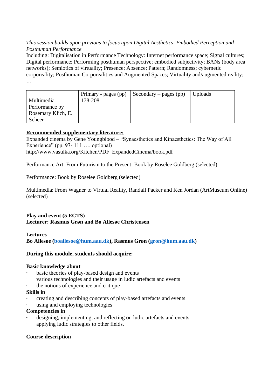#### *This session builds upon previous to focus upon Digital Aesthetics, Embodied Perception and Posthuman Performance*

Including: Digitalisation in Performance Technology: Internet performance space; Signal cultures; Digital performance; Performing posthuman perspective; embodied subjectivity; BANs (body area networks); Semiotics of virtuality; Presence; Absence; Pattern; Randomness; cybernetic corporeality; Posthuman Corporealities and Augmented Spaces; Virtuality and/augmented reality; …

|                    | Primary - pages (pp) | Secondary – pages $(pp)$ | <b>Uploads</b> |
|--------------------|----------------------|--------------------------|----------------|
| Multimedia         | 178-208              |                          |                |
| Performance by     |                      |                          |                |
| Rosemary Klich, E. |                      |                          |                |
| Scheer             |                      |                          |                |

#### **Recommended supplementary literature:**

Expanded cinema by Gene Youngblood – "Synaesthetics and Kinaesthetics: The Way of All Experience" (pp. 97- 111 …. optional) http://www.vasulka.org/Kitchen/PDF\_ExpandedCinema/book.pdf

Performance Art: From Futurism to the Present: Book by Roselee Goldberg (selected)

Performance: Book by Roselee Goldberg (selected)

Multimedia: From Wagner to Virtual Reality, Randall Packer and Ken Jordan (ArtMuseum Online) (selected)

## **Play and event (5 ECTS) Lecturer: Rasmus Grøn and Bo Allesøe Christensen**

#### **Lectures Bo Allesøe [\(boallesoe@hum.aau.dk\)](mailto:boallesoe@hum.aau.dk), Rasmus Grøn [\(gron@hum.aau.dk\)](mailto:gron@hum.aau.dk)**

#### **During this module, students should acquire:**

#### **Basic knowledge about**

- basic theories of play-based design and events
- various technologies and their usage in ludic artefacts and events
- the notions of experience and critique

#### **Skills in**

- **·** creating and describing concepts of play-based artefacts and events
- using and employing technologies

#### **Competencies in**

- designing, implementing, and reflecting on ludic artefacts and events
- applying ludic strategies to other fields.

#### **Course description**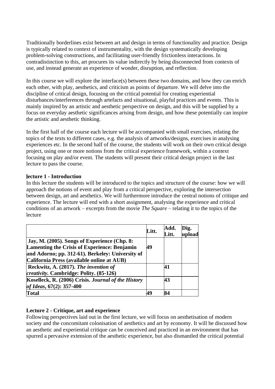Traditionally borderlines exist between art and design in terms of functionality and practice. Design is typically related to context of instrumentality, with the design systematically developing problem-solving constructions, and facilitating user-friendly frictionless interactions. In contradistinction to this, art procures its value indirectly by being disconnected from contexts of use, and instead generate an experience of wonder, disruption, and reflection.

In this course we will explore the interface(s) between these two domains, and how they can enrich each other, with play, aesthetics, and criticism as points of departure. We will delve into the discipline of critical design, focusing on the critical potential for creating experiential disturbances/interferences through artefacts and situational, playful practices and events. This is mainly inspired by an artistic and aesthetic perspective on design, and this will be supplied by a focus on everyday aesthetic significances arising from design, and how these potentially can inspire the artistic and aesthetic thinking.

In the first half of the course each lecture will be accompanied with small exercises, relating the topics of the texts to different cases, e.g. the analysis of artworks/designs, exercises in analysing experiences etc. In the second half of the course, the students will work on their own critical design project, using one or more notions from the critical experience framework, within a context focusing on play and/or event. The students will present their critical design project in the last lecture to pass the course.

#### **lecture 1 - [Introduction](https://www.moodle.aau.dk/course/view.php?id=32617#section-1)**

In this lecture the students will be introduced to the topics and structure of the course: how we will approach the notions of event and play from a critical perspective, exploring the intersection between design, art and aesthetics. We will furthermore introduce the central notions of critique and experience. The lecture will end with a short assignment, analysing the experience and critical conditions of an artwork – excerpts from the movie *The Square* – relating it to the topics of the lecture

|                                                                                                | Litt. | Add.<br>Litt. | Dig.<br>upload |
|------------------------------------------------------------------------------------------------|-------|---------------|----------------|
| Jay, M. (2005). Songs of Experience (Chp. 8:<br>Lamenting the Crisis of Experience: Benjamin   | 49    |               |                |
| and Adorno; pp. 312-61). Berkeley: University of<br>California Press (available online at AUB) |       |               |                |
| Reckwitz, A. (2017). The invention of<br>creativity. Cambridge: Polity. (85-126)               |       | 41            |                |
| Koselleck, R. (2006) Crisis. Journal of the History<br>of Ideas, 67(2): 357-400                |       | 43            |                |
| <b>Total</b>                                                                                   | 49    | 84            |                |

#### **Lecture 2 - [Critique, art and experience](https://www.moodle.aau.dk/course/view.php?id=32617#section-2)**

Following perspectives laid out in the first lecture, we will focus on aesthetisation of modern society and the concomitant colonisation of aesthetics and art by economy. It will be discussed how an aesthetic and experiential critique can be conceived and practiced in an environment that has spurred a pervasive extension of the aesthetic experience, but also dismantled the critical potential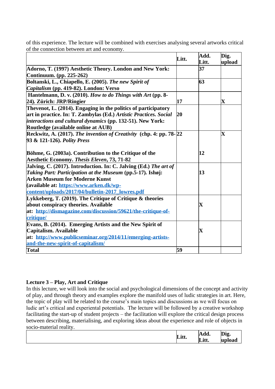|                                                                     | Litt. | Add.<br>Litt.           | Dig.                    |
|---------------------------------------------------------------------|-------|-------------------------|-------------------------|
|                                                                     |       | $\overline{37}$         | upload                  |
| Adorno, T. (1997) Aesthetic Theory. London and New York:            |       |                         |                         |
| Continuum. (pp. 225-262)                                            |       |                         |                         |
| Boltanski, L., Chiapello, E. (2005). The new Spirit of              |       | 63                      |                         |
| Capitalism (pp. 419-82). London: Verso                              |       |                         |                         |
| Hantelmann, D. v. (2010). How to do Things with Art (pp. 8-         |       |                         |                         |
| 24). Zürich: JRP/Ringier                                            | 17    |                         | $\mathbf X$             |
| Thevenot, L. (2014). Engaging in the politics of participatory      |       |                         |                         |
| art in practice. In: T. Zambylas (Ed.) Artistic Practices. Social   | 20    |                         |                         |
| interactions and cultural dynamics (pp. 132-51). New York:          |       |                         |                         |
| Routledge (available online at AUB)                                 |       |                         |                         |
| Reckwitz, A. (2017). The invention of Creativity (chp. 4: pp. 78-22 |       |                         | $\overline{\mathbf{X}}$ |
| 93 & 121-126). Polity Press                                         |       |                         |                         |
|                                                                     |       |                         |                         |
| Böhme, G. (2003a). Contribution to the Critique of the              |       | 12                      |                         |
| <b>Aesthetic Economy. Thesis Eleven, 73, 71-82</b>                  |       |                         |                         |
| Jalving, C. (2017). Introduction. In: C. Jalving (Ed.) The art of   |       |                         |                         |
| Taking Part: Participation at the Museum (pp.5-17). Ishøj:          |       | 13                      |                         |
| <b>Arken Museum for Moderne Kunst</b>                               |       |                         |                         |
| (available at: https://www.arken.dk/wp-                             |       |                         |                         |
| content/uploads/2017/04/bulletin-2017_lowres.pdf                    |       |                         |                         |
| Lykkeberg, T. (2019). The Critique of Critique & theories           |       |                         |                         |
| about conspiracy theories. Available                                |       | $\overline{\mathbf{X}}$ |                         |
| at: http://dismagazine.com/discussion/59621/the-critique-of-        |       |                         |                         |
| critique/                                                           |       |                         |                         |
| Evans, B. (2014). Emerging Artists and the New Spirit of            |       |                         |                         |
| Capitalism. Available                                               |       | $\mathbf X$             |                         |
| at: http://www.publicseminar.org/2014/11/emerging-artists-          |       |                         |                         |
| and-the-new-spirit-of-capitalism/                                   |       |                         |                         |
| <b>Total</b>                                                        | 59    |                         |                         |

of this experience. The lecture will be combined with exercises analysing several artworks critical of the connection between art and economy.

#### **Lecture 3 – Play, Art and Critique**

In this lecture, we will look into the social and psychological dimensions of the concept and activity of play, and through theory and examples explore the manifold uses of ludic strategies in art. Here, the topic of play will be related to the course's main topics and discussions as we will focus on ludic art's critical and experiental potentials. The lecture will be followed by a creative workshop facilitating the start-up of student projects – the facilitation will explore the critical design process between describing, materialising, and exploring ideas about the experience and role of objects in socio-material reality.

| Litt. | Add.  | Dig.<br>o |
|-------|-------|-----------|
|       | Litt. | upload    |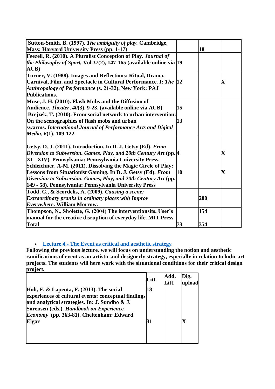| Sutton-Smith, B. (1997). The ambiguity of play. Cambridge,                     |           |     |                         |
|--------------------------------------------------------------------------------|-----------|-----|-------------------------|
| <b>Mass: Harvard University Press (pp. 1-17)</b>                               |           | 18  |                         |
| Feezell, R. (2010). A Pluralist Conception of Play. Journal of                 |           |     |                         |
| the Philosophy of Sport, Vol.37(2), 147-165 (available online via $ 19\rangle$ |           |     |                         |
| AUB)                                                                           |           |     |                         |
| Turner, V. (1988). Images and Reflections: Ritual, Drama,                      |           |     |                         |
| Carnival, Film, and Spectacle in Cultural Performance. I: The 12               |           |     | $\overline{\mathbf{X}}$ |
| Anthropology of Performance (s. 21-32). New York: PAJ                          |           |     |                         |
| <b>Publications.</b>                                                           |           |     |                         |
| Muse, J. H. (2010). Flash Mobs and the Diffusion of                            |           |     |                         |
| Audience. <i>Theater</i> , 40(3), 9-23. (available online via AUB)             | 15        |     |                         |
| Brejzek, T. (2010). From social network to urban intervention:                 |           |     |                         |
| On the scenographies of flash mobs and urban                                   | 13        |     |                         |
| swarms. International Journal of Performance Arts and Digital                  |           |     |                         |
| Media, 6(1), 109-122.                                                          |           |     |                         |
| Getsy, D. J. (2011). Introduction. In D. J. Getsy (Ed). From                   |           |     |                         |
| Diversion to Subversion. Games, Play, and 20th Century Art (pp. 4              |           |     | $\mathbf X$             |
| XI - XIV). Pennsylvania: Pennsylvania University Press.                        |           |     |                         |
| Schleichner, A-M. (2011). Dissolving the Magic Circle of Play:                 |           |     |                         |
| <b>Lessons from Situationist Gaming. In D. J. Getsy (Ed). From</b>             | <b>10</b> |     | $\overline{\mathbf{X}}$ |
| Diversion to Subversion. Games, Play, and 20th Century Art (pp.                |           |     |                         |
| [149 - 58). Pennsylvania: Pennsylvania University Press                        |           |     |                         |
| Todd, C., & Scordelis, A. (2009). Causing a scene:                             |           |     |                         |
| <b>Extraordinary pranks in ordinary places with Improv</b>                     |           | 200 |                         |
| Everywhere. William Morrow.                                                    |           |     |                         |
| Thompson, N., Sholette, G. (2004) The interventionsits. User's                 |           | 154 |                         |
| manual for the creative disruption of everyday life. MIT Press                 |           |     |                         |
| <b>Total</b>                                                                   | 73        | 354 |                         |
|                                                                                |           |     |                         |

#### • **Lecture 4 - [The Event as critical and aesthetic strategy](https://www.moodle.aau.dk/course/view.php?id=32617#section-4)**

**Following the previous lecture, we will focus on understanding the notion and aesthetic ramifications of event as an artistic and designerly strategy, especially in relation to ludic art projects. The students will here work with the situational conditions for their critical design project.**

|                                                                                                                                                                                                                                                          | Litt.    | Add.<br>Litt. | Dig.<br>load |
|----------------------------------------------------------------------------------------------------------------------------------------------------------------------------------------------------------------------------------------------------------|----------|---------------|--------------|
| Holt, F. & Lapenta, F. (2013). The social<br>experiences of cultural events: conceptual findings<br>and analytical strategies. In: J. Sundbo & J.<br>Sørensen (eds.). Handbook on Experience<br><i>Economy</i> (pp. 363-81). Cheltenham: Edward<br>Elgar | 18<br>31 |               |              |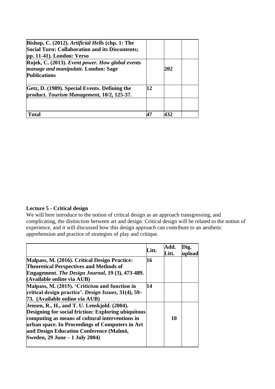| Bishop, C. (2012). Artificial Hells (chp. 1: The<br><b>Social Turn: Collaboration and its Discontents;</b><br>$pp. 11-41$ . London: Verso |    |     |  |
|-------------------------------------------------------------------------------------------------------------------------------------------|----|-----|--|
| Rojek, C. (2013). Event power. How global events<br>manage and manipulate. London: Sage<br><b>Publications</b>                            |    | 202 |  |
| Getz, D. (1989). Special Events. Defining the<br>product. Tourism Management, 10/2, 125-37.                                               | 12 |     |  |
|                                                                                                                                           |    |     |  |
| Total                                                                                                                                     |    | 437 |  |

#### **Lecture 5 - [Critical design](https://www.moodle.aau.dk/course/view.php?id=32617#section-5)**

We will here introduce to the notion of critical design as an approach transgressing, and complicating, the distinction between art and design. Critical design will be related to the notion of experience, and it will discussed how this design approach can contribute to an aesthetic apprehension and practice of strategies of play and critique.

|                                                            | Litt. | Add.<br>Litt. | )ig.<br>upload |
|------------------------------------------------------------|-------|---------------|----------------|
| Malpass, M. (2016). Critical Design Practice:              | 16    |               |                |
| <b>Theoretical Perspectives and Methods of</b>             |       |               |                |
| Engagement. The Design Journal, 19 (3), 473-489.           |       |               |                |
| (Available online via AUB)                                 |       |               |                |
| Malpass, M. (2015). 'Criticism and function in             | 14    |               |                |
| critical design practice'. Design Issues, 31(4), 59–       |       |               |                |
| 73. (Available online via AUB)                             |       |               |                |
| Jensen, R., H., and T. U. Lenskjold. (2004).               |       |               |                |
| <b>Designing for social friction: Exploring ubiquitous</b> |       |               |                |
| computing as means of cultural interventions in            |       | 10            |                |
| urban space. In Proceedings of Computers in Art            |       |               |                |
| and Design Education Conference (Malmö,                    |       |               |                |
| Sweden, 29 June – 1 July 2004)                             |       |               |                |
|                                                            |       |               |                |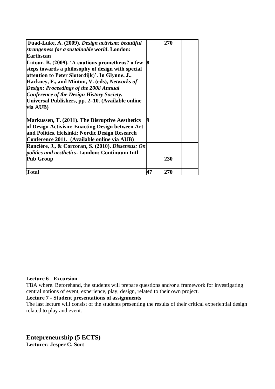| Fuad-Luke, A. (2009). Design activism: beautiful<br>strangeness for a sustainable world. London:                                                                                                                                                                                                                                                                   |    | 270 |  |
|--------------------------------------------------------------------------------------------------------------------------------------------------------------------------------------------------------------------------------------------------------------------------------------------------------------------------------------------------------------------|----|-----|--|
| <b>Earthscan</b>                                                                                                                                                                                                                                                                                                                                                   |    |     |  |
| Latour, B. (2009). 'A cautious prometheus? a few<br>steps towards a philosophy of design with special<br>attention to Peter Sloterdijk)'. In Glynne, J.,<br>Hackney, F., and Minton, V. (eds), Networks of<br>Design: Proceedings of the 2008 Annual<br>Conference of the Design History Society.<br>Universal Publishers, pp. 2–10. (Available online<br>via AUB) | 8  |     |  |
| Markussen, T. (2011). The Disruptive Aesthetics<br>of Design Activism: Enacting Design between Art<br>and Politics. Helsinki: Nordic Design Research<br>Conference 2011. (Available online via AUB)                                                                                                                                                                | 19 |     |  |
| Rancière, J., & Corcoran, S. (2010). Dissensus: On<br><i>politics and aesthetics.</i> London: Continuum Intl<br><b>Pub Group</b>                                                                                                                                                                                                                                   |    | 230 |  |
| Total                                                                                                                                                                                                                                                                                                                                                              | 47 | 270 |  |

#### **[Lecture 6 -](https://www.moodle.aau.dk/course/view.php?id=32617#section-6) Excursion**

TBA where. Beforehand, the students will prepare questions and/or a framework for investigating central notions of event, experience, play, design, related to their own project.

#### **Lecture 7 - [Student presentations of assignments](https://www.moodle.aau.dk/course/view.php?id=32617#section-7)**

The last lecture will consist of the students presenting the results of their critical experiential design related to play and event.

**Entepreneurship (5 ECTS) Lecturer: Jesper C. Sort**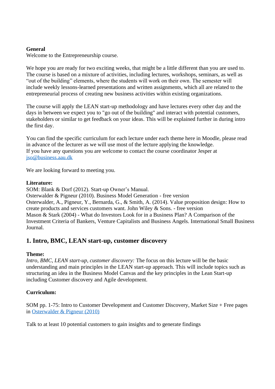#### **General**

Welcome to the Entrepreneurship course.

We hope you are ready for two exciting weeks, that might be a little different than you are used to. The course is based on a mixture of activities, including lectures, workshops, seminars, as well as "out of the building" elements, where the students will work on their own. The semester will include weekly lessons-learned presentations and written assignments, which all are related to the entrepreneurial process of creating new business activities within existing organizations.

The course will apply the LEAN start-up methodology and have lectures every other day and the days in between we expect you to "go out of the building" and interact with potential customers, stakeholders or similar to get feedback on your ideas. This will be explained further in during intro the first day.

You can find the specific curriculum for each lecture under each theme here in Moodle, please read in advance of the lecturer as we will use most of the lecture applying the knowledge. If you have any questions you are welcome to contact the course coordinator Jesper at [jso@business.aau.dk](mailto:jso@business.aau.dk)

We are looking forward to meeting you.

#### **Literature:**

SOM: Blank & Dorf (2012). Start-up Owner's Manual. Osterwalder & Pigneur (2010). Business Model Generation - free version Osterwalder, A., Pigneur, Y., Bernarda, G., & Smith, A. (2014). Value proposition design: How to create products and services customers want. John Wiley & Sons. - free version Mason & Stark (2004) - What do Investors Look for in a Business Plan? A Comparison of the Investment Criteria of Bankers, Venture Capitalists and Business Angels. International Small Business Journal.

# **1. Intro, BMC, LEAN start-up, customer discovery**

#### **Theme:**

*Intro, BMC, LEAN start-up, customer discovery:* The focus on this lecture will be the basic understanding and main principles in the LEAN start-up approach. This will include topics such as structuring an idea in the Business Model Canvas and the key principles in the Lean Start-up including Customer discovery and Agile development.

#### **Curriculum:**

SOM pp. 1-75: Intro to Customer Development and Customer Discovery, Market Size + Free pages in [Osterwalder & Pigneur \(2010\)](https://www.strategyzer.com/books/business-model-generation)

Talk to at least 10 potential customers to gain insights and to generate findings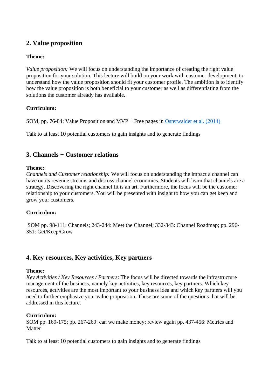# **2. Value proposition**

#### **Theme:**

*Value proposition:* We will focus on understanding the importance of creating the right value proposition for your solution. This lecture will build on your work with customer development, to understand how the value proposition should fit your customer profile. The ambition is to identify how the value proposition is both beneficial to your customer as well as differentiating from the solutions the customer already has available.

#### **Curriculum:**

SOM, pp. 76-84: Value Proposition and MVP + Free pages in [Osterwalder et al. \(2014\)](https://www.strategyzer.com/books/value-proposition-design)

Talk to at least 10 potential customers to gain insights and to generate findings

# **3. [Channels + Customer relations](https://www.moodle.aau.dk/course/view.php?id=32616#section-3)**

#### **Theme:**

*Channels and Customer relationship:* We will focus on understanding the impact a channel can have on its revenue streams and discuss channel economics. Students will learn that channels are a strategy. Discovering the right channel fit is an art. Furthermore, the focus will be the customer relationship to your customers. You will be presented with insight to how you can get keep and grow your customers.

#### **Curriculum:**

SOM pp. 98-111: Channels; 243-244: Meet the Channel; 332-343: Channel Roadmap; pp. 296- 351: Get/Keep/Grow

# **4. [Key resources, Key activities, Key partners](https://www.moodle.aau.dk/course/view.php?id=32616#section-4)**

#### **Theme:**

*Key Activities / Key Resources / Partners*: The focus will be directed towards the infrastructure management of the business, namely key activities, key resources, key partners. Which key resources, activities are the most important to your business idea and which key partners will you need to further emphasize your value proposition. These are some of the questions that will be addressed in this lecture.

#### **Curriculum:**

SOM pp. 169-175; pp. 267-269: can we make money; review again pp. 437-456: Metrics and **Matter** 

Talk to at least 10 potential customers to gain insights and to generate findings